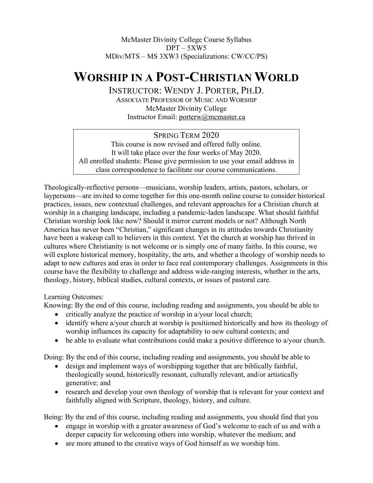# McMaster Divinity College Course Syllabus  $DPT - 5XW5$ MDiv/MTS – MS 3XW3 (Specializations: CW/CC/PS)

# **WORSHIP IN A POST-CHRISTIAN WORLD**

INSTRUCTOR: WENDY J. PORTER, PH.D. ASSOCIATE PROFESSOR OF MUSIC AND WORSHIP McMaster Divinity College Instructor Email: porterw@mcmaster.ca

## SPRING TERM 2020

This course is now revised and offered fully online. It will take place over the four weeks of May 2020. All enrolled students: Please give permission to use your email address in class correspondence to facilitate our course communications.

Theologically-reflective persons—musicians, worship leaders, artists, pastors, scholars, or laypersons—are invited to come together for this one-month online course to consider historical practices, issues, new contextual challenges, and relevant approaches for a Christian church at worship in a changing landscape, including a pandemic-laden landscape. What should faithful Christian worship look like now? Should it mirror current models or not? Although North America has never been "Christian," significant changes in its attitudes towards Christianity have been a wakeup call to believers in this context. Yet the church at worship has thrived in cultures where Christianity is not welcome or is simply one of many faiths. In this course, we will explore historical memory, hospitality, the arts, and whether a theology of worship needs to adapt to new cultures and eras in order to face real contemporary challenges. Assignments in this course have the flexibility to challenge and address wide-ranging interests, whether in the arts, theology, history, biblical studies, cultural contexts, or issues of pastoral care.

## Learning Outcomes:

Knowing: By the end of this course, including reading and assignments, you should be able to

- critically analyze the practice of worship in a/your local church;
- identify where a/your church at worship is positioned historically and how its theology of worship influences its capacity for adaptability to new cultural contexts; and
- be able to evaluate what contributions could make a positive difference to a/your church.

Doing: By the end of this course, including reading and assignments, you should be able to

- design and implement ways of worshipping together that are biblically faithful, theologically sound, historically resonant, culturally relevant, and/or artistically generative; and
- research and develop your own theology of worship that is relevant for your context and faithfully aligned with Scripture, theology, history, and culture.

Being: By the end of this course, including reading and assignments, you should find that you

- engage in worship with a greater awareness of God's welcome to each of us and with a deeper capacity for welcoming others into worship, whatever the medium; and
- are more attuned to the creative ways of God himself as we worship him.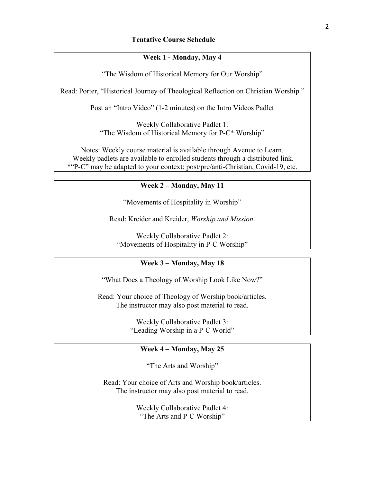## **Week 1 - Monday, May 4**

"The Wisdom of Historical Memory for Our Worship"

Read: Porter, "Historical Journey of Theological Reflection on Christian Worship."

Post an "Intro Video" (1-2 minutes) on the Intro Videos Padlet

Weekly Collaborative Padlet 1: "The Wisdom of Historical Memory for P-C\* Worship"

Notes: Weekly course material is available through Avenue to Learn. Weekly padlets are available to enrolled students through a distributed link. \*"P-C" may be adapted to your context: post/pre/anti-Christian, Covid-19, etc.

#### **Week 2 – Monday, May 11**

"Movements of Hospitality in Worship"

Read: Kreider and Kreider, *Worship and Mission*.

Weekly Collaborative Padlet 2: "Movements of Hospitality in P-C Worship"

#### **Week 3 – Monday, May 18**

"What Does a Theology of Worship Look Like Now?"

Read: Your choice of Theology of Worship book/articles. The instructor may also post material to read.

> Weekly Collaborative Padlet 3: "Leading Worship in a P-C World"

## **Week 4 – Monday, May 25**

"The Arts and Worship"

Read: Your choice of Arts and Worship book/articles. The instructor may also post material to read.

> Weekly Collaborative Padlet 4: "The Arts and P-C Worship"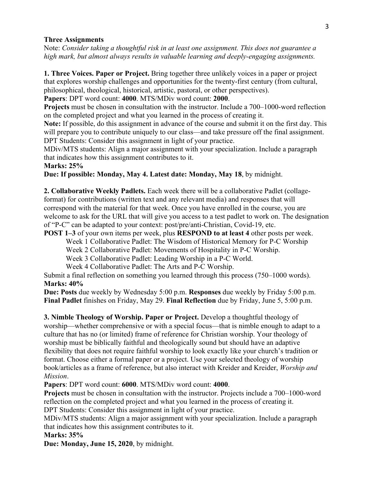#### **Three Assignments**

Note: *Consider taking a thoughtful risk in at least one assignment. This does not guarantee a high mark, but almost always results in valuable learning and deeply-engaging assignments.*

**1. Three Voices. Paper or Project.** Bring together three unlikely voices in a paper or project that explores worship challenges and opportunities for the twenty-first century (from cultural, philosophical, theological, historical, artistic, pastoral, or other perspectives). **Papers**: DPT word count: **4000**. MTS/MDiv word count: **2000**.

**Projects** must be chosen in consultation with the instructor. Include a 700–1000-word reflection on the completed project and what you learned in the process of creating it.

**Note:** If possible, do this assignment in advance of the course and submit it on the first day. This will prepare you to contribute uniquely to our class—and take pressure off the final assignment. DPT Students: Consider this assignment in light of your practice.

MDiv/MTS students: Align a major assignment with your specialization. Include a paragraph that indicates how this assignment contributes to it.

## **Marks: 25%**

**Due: If possible: Monday, May 4. Latest date: Monday, May 18**, by midnight.

**2. Collaborative Weekly Padlets.** Each week there will be a collaborative Padlet (collageformat) for contributions (written text and any relevant media) and responses that will correspond with the material for that week. Once you have enrolled in the course, you are welcome to ask for the URL that will give you access to a test padlet to work on. The designation of "P-C" can be adapted to your context: post/pre/anti-Christian, Covid-19, etc.

**POST 1–3** of your own items per week, plus **RESPOND to at least 4** other posts per week.

Week 1 Collaborative Padlet: The Wisdom of Historical Memory for P-C Worship

Week 2 Collaborative Padlet: Movements of Hospitality in P-C Worship.

Week 3 Collaborative Padlet: Leading Worship in a P-C World.

Week 4 Collaborative Padlet: The Arts and P-C Worship.

Submit a final reflection on something you learned through this process (750–1000 words). **Marks: 40%**

**Due: Posts** due weekly by Wednesday 5:00 p.m. **Responses** due weekly by Friday 5:00 p.m. **Final Padlet** finishes on Friday, May 29. **Final Reflection** due by Friday, June 5, 5:00 p.m.

**3. Nimble Theology of Worship. Paper or Project.** Develop a thoughtful theology of worship—whether comprehensive or with a special focus—that is nimble enough to adapt to a culture that has no (or limited) frame of reference for Christian worship. Your theology of worship must be biblically faithful and theologically sound but should have an adaptive flexibility that does not require faithful worship to look exactly like your church's tradition or format. Choose either a formal paper or a project. Use your selected theology of worship book/articles as a frame of reference, but also interact with Kreider and Kreider, *Worship and Mission*.

**Papers**: DPT word count: **6000**. MTS/MDiv word count: **4000**.

**Projects** must be chosen in consultation with the instructor. Projects include a 700–1000-word reflection on the completed project and what you learned in the process of creating it. DPT Students: Consider this assignment in light of your practice.

MDiv/MTS students: Align a major assignment with your specialization. Include a paragraph that indicates how this assignment contributes to it.

**Marks: 35%**

**Due: Monday, June 15, 2020**, by midnight.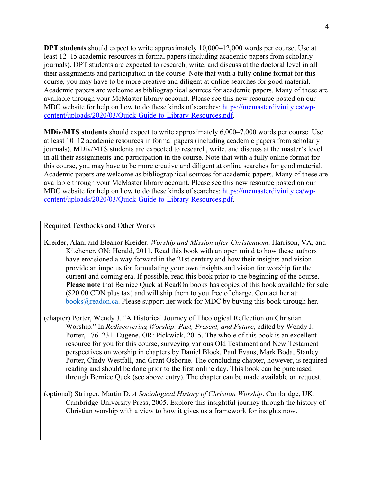**DPT students** should expect to write approximately 10,000–12,000 words per course. Use at least 12–15 academic resources in formal papers (including academic papers from scholarly journals). DPT students are expected to research, write, and discuss at the doctoral level in all their assignments and participation in the course. Note that with a fully online format for this course, you may have to be more creative and diligent at online searches for good material. Academic papers are welcome as bibliographical sources for academic papers. Many of these are available through your McMaster library account. Please see this new resource posted on our MDC website for help on how to do these kinds of searches: https://mcmasterdivinity.ca/wpcontent/uploads/2020/03/Quick-Guide-to-Library-Resources.pdf.

**MDiv/MTS students** should expect to write approximately 6,000–7,000 words per course. Use at least 10–12 academic resources in formal papers (including academic papers from scholarly journals). MDiv/MTS students are expected to research, write, and discuss at the master's level in all their assignments and participation in the course. Note that with a fully online format for this course, you may have to be more creative and diligent at online searches for good material. Academic papers are welcome as bibliographical sources for academic papers. Many of these are available through your McMaster library account. Please see this new resource posted on our MDC website for help on how to do these kinds of searches: https://mcmasterdivinity.ca/wpcontent/uploads/2020/03/Quick-Guide-to-Library-Resources.pdf.

Required Textbooks and Other Works

Kreider, Alan, and Eleanor Kreider. *Worship and Mission after Christendom*. Harrison, VA, and Kitchener, ON: Herald, 2011. Read this book with an open mind to how these authors have envisioned a way forward in the 21st century and how their insights and vision provide an impetus for formulating your own insights and vision for worship for the current and coming era. If possible, read this book prior to the beginning of the course. **Please note** that Bernice Quek at ReadOn books has copies of this book available for sale (\$20.00 CDN plus tax) and will ship them to you free of charge. Contact her at:  $\underline{books@readon.ca}$ . Please support her work for MDC by buying this book through her.

(chapter) Porter, Wendy J. "A Historical Journey of Theological Reflection on Christian Worship." In *Rediscovering Worship: Past, Present, and Future*, edited by Wendy J. Porter, 176–231. Eugene, OR: Pickwick, 2015. The whole of this book is an excellent resource for you for this course, surveying various Old Testament and New Testament perspectives on worship in chapters by Daniel Block, Paul Evans, Mark Boda, Stanley Porter, Cindy Westfall, and Grant Osborne. The concluding chapter, however, is required reading and should be done prior to the first online day. This book can be purchased through Bernice Quek (see above entry). The chapter can be made available on request.

(optional) Stringer, Martin D. *A Sociological History of Christian Worship*. Cambridge, UK: Cambridge University Press, 2005. Explore this insightful journey through the history of Christian worship with a view to how it gives us a framework for insights now.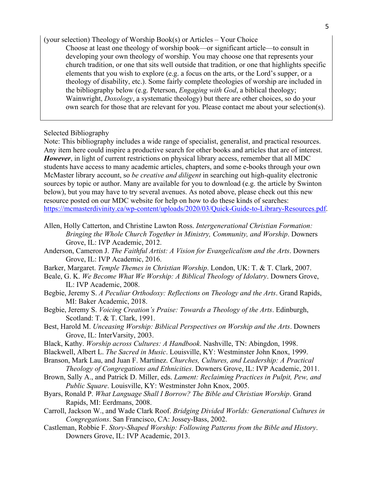(your selection) Theology of Worship Book(s) or Articles – Your Choice

Choose at least one theology of worship book—or significant article—to consult in developing your own theology of worship. You may choose one that represents your church tradition, or one that sits well outside that tradition, or one that highlights specific elements that you wish to explore (e.g. a focus on the arts, or the Lord's supper, or a theology of disability, etc.). Some fairly complete theologies of worship are included in the bibliography below (e.g. Peterson, *Engaging with God*, a biblical theology; Wainwright, *Doxology*, a systematic theology) but there are other choices, so do your own search for those that are relevant for you. Please contact me about your selection(s).

Selected Bibliography

Note: This bibliography includes a wide range of specialist, generalist, and practical resources. Any item here could inspire a productive search for other books and articles that are of interest. *However*, in light of current restrictions on physical library access, remember that all MDC students have access to many academic articles, chapters, and some e-books through your own McMaster library account, so *be creative and diligent* in searching out high-quality electronic sources by topic or author. Many are available for you to download (e.g. the article by Swinton below), but you may have to try several avenues. As noted above, please check out this new resource posted on our MDC website for help on how to do these kinds of searches: https://mcmasterdivinity.ca/wp-content/uploads/2020/03/Quick-Guide-to-Library-Resources.pdf.

- Allen, Holly Catterton, and Christine Lawton Ross. *Intergenerational Christian Formation: Bringing the Whole Church Together in Ministry, Community, and Worship*. Downers Grove, IL: IVP Academic, 2012.
- Anderson, Cameron J. *The Faithful Artist: A Vision for Evangelicalism and the Arts*. Downers Grove, IL: IVP Academic, 2016.
- Barker, Margaret. *Temple Themes in Christian Worship*. London, UK: T. & T. Clark, 2007.
- Beale, G. K. *We Become What We Worship: A Biblical Theology of Idolatry*. Downers Grove, IL: IVP Academic, 2008.
- Begbie, Jeremy S. *A Peculiar Orthodoxy: Reflections on Theology and the Arts*. Grand Rapids, MI: Baker Academic, 2018.
- Begbie, Jeremy S. *Voicing Creation's Praise: Towards a Theology of the Arts*. Edinburgh, Scotland: T. & T. Clark, 1991.
- Best, Harold M. *Unceasing Worship: Biblical Perspectives on Worship and the Arts*. Downers Grove, IL: InterVarsity, 2003.
- Black, Kathy. *Worship across Cultures: A Handbook*. Nashville, TN: Abingdon, 1998.
- Blackwell, Albert L. *The Sacred in Music*. Louisville, KY: Westminster John Knox, 1999.
- Branson, Mark Lau, and Juan F. Martínez. *Churches, Cultures, and Leadership: A Practical Theology of Congregations and Ethnicities*. Downers Grove, IL: IVP Academic, 2011.
- Brown, Sally A., and Patrick D. Miller, eds. *Lament: Reclaiming Practices in Pulpit, Pew, and Public Square*. Louisville, KY: Westminster John Knox, 2005.
- Byars, Ronald P. *What Language Shall I Borrow? The Bible and Christian Worship*. Grand Rapids, MI: Eerdmans, 2008.
- Carroll, Jackson W., and Wade Clark Roof. *Bridging Divided Worlds: Generational Cultures in Congregations*. San Francisco, CA: Jossey-Bass, 2002.
- Castleman, Robbie F. *Story-Shaped Worship: Following Patterns from the Bible and History*. Downers Grove, IL: IVP Academic, 2013.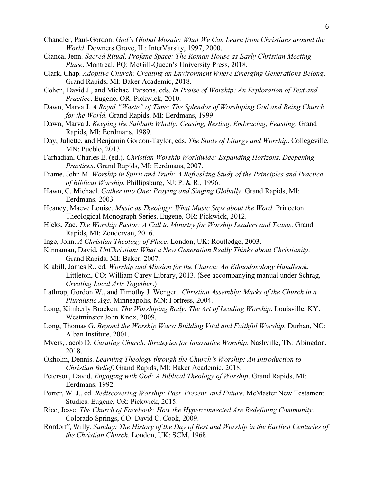- Chandler, Paul-Gordon. *God's Global Mosaic: What We Can Learn from Christians around the World*. Downers Grove, IL: InterVarsity, 1997, 2000.
- Cianca, Jenn. *Sacred Ritual, Profane Space: The Roman House as Early Christian Meeting Place*. Montreal, PQ: McGill-Queen's University Press, 2018.
- Clark, Chap. *Adoptive Church: Creating an Environment Where Emerging Generations Belong*. Grand Rapids, MI: Baker Academic, 2018.
- Cohen, David J., and Michael Parsons, eds. *In Praise of Worship: An Exploration of Text and Practice*. Eugene, OR: Pickwick, 2010.
- Dawn, Marva J. *A Royal "Waste" of Time: The Splendor of Worshiping God and Being Church for the World*. Grand Rapids, MI: Eerdmans, 1999.
- Dawn, Marva J. *Keeping the Sabbath Wholly: Ceasing, Resting, Embracing, Feasting*. Grand Rapids, MI: Eerdmans, 1989.
- Day, Juliette, and Benjamin Gordon-Taylor, eds. *The Study of Liturgy and Worship*. Collegeville, MN: Pueblo, 2013.
- Farhadian, Charles E. (ed.). *Christian Worship Worldwide: Expanding Horizons, Deepening Practices*. Grand Rapids, MI: Eerdmans, 2007.
- Frame, John M. *Worship in Spirit and Truth: A Refreshing Study of the Principles and Practice of Biblical Worship*. Phillipsburg, NJ: P. & R., 1996.
- Hawn, C. Michael. *Gather into One: Praying and Singing Globally*. Grand Rapids, MI: Eerdmans, 2003.
- Heaney, Maeve Louise. *Music as Theology: What Music Says about the Word*. Princeton Theological Monograph Series. Eugene, OR: Pickwick, 2012.
- Hicks, Zac. *The Worship Pastor: A Call to Ministry for Worship Leaders and Teams*. Grand Rapids, MI: Zondervan, 2016.
- Inge, John. *A Christian Theology of Place*. London, UK: Routledge, 2003.
- Kinnaman, David. *UnChristian: What a New Generation Really Thinks about Christianity*. Grand Rapids, MI: Baker, 2007.
- Krabill, James R., ed. *Worship and Mission for the Church: An Ethnodoxology Handbook*. Littleton, CO: William Carey Library, 2013. (See accompanying manual under Schrag, *Creating Local Arts Together*.)
- Lathrop, Gordon W., and Timothy J. Wengert. *Christian Assembly: Marks of the Church in a Pluralistic Age*. Minneapolis, MN: Fortress, 2004.
- Long, Kimberly Bracken. *The Worshiping Body: The Art of Leading Worship*. Louisville, KY: Westminster John Knox, 2009.
- Long, Thomas G. *Beyond the Worship Wars: Building Vital and Faithful Worship*. Durhan, NC: Alban Institute, 2001.
- Myers, Jacob D. *Curating Church: Strategies for Innovative Worship*. Nashville, TN: Abingdon, 2018.
- Okholm, Dennis. *Learning Theology through the Church's Worship: An Introduction to Christian Belief*. Grand Rapids, MI: Baker Academic, 2018.
- Peterson, David. *Engaging with God: A Biblical Theology of Worship*. Grand Rapids, MI: Eerdmans, 1992.
- Porter, W. J., ed. *Rediscovering Worship: Past, Present, and Future*. McMaster New Testament Studies. Eugene, OR: Pickwick, 2015.
- Rice, Jesse. *The Church of Facebook: How the Hyperconnected Are Redefining Community*. Colorado Springs, CO: David C. Cook, 2009.
- Rordorff, Willy*. Sunday: The History of the Day of Rest and Worship in the Earliest Centuries of the Christian Church*. London, UK: SCM, 1968.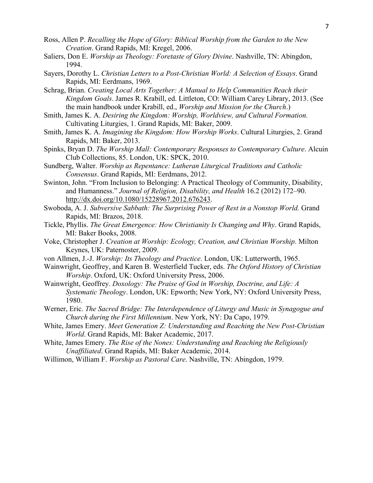- Ross, Allen P. *Recalling the Hope of Glory: Biblical Worship from the Garden to the New Creation*. Grand Rapids, MI: Kregel, 2006.
- Saliers, Don E. *Worship as Theology: Foretaste of Glory Divine*. Nashville, TN: Abingdon, 1994.
- Sayers, Dorothy L. *Christian Letters to a Post-Christian World: A Selection of Essays*. Grand Rapids, MI: Eerdmans, 1969.
- Schrag, Brian. *Creating Local Arts Together: A Manual to Help Communities Reach their Kingdom Goals*. James R. Krabill, ed. Littleton, CO: William Carey Library, 2013. (See the main handbook under Krabill, ed., *Worship and Mission for the Church*.)
- Smith, James K. A. *Desiring the Kingdom: Worship, Worldview, and Cultural Formation.*  Cultivating Liturgies, 1. Grand Rapids, MI: Baker, 2009.
- Smith, James K. A. *Imagining the Kingdom: How Worship Works*. Cultural Liturgies, 2. Grand Rapids, MI: Baker, 2013.
- Spinks, Bryan D. *The Worship Mall: Contemporary Responses to Contemporary Culture*. Alcuin Club Collections, 85. London, UK: SPCK, 2010.
- Sundberg, Walter. *Worship as Repentance: Lutheran Liturgical Traditions and Catholic Consensus*. Grand Rapids, MI: Eerdmans, 2012.
- Swinton, John. "From Inclusion to Belonging: A Practical Theology of Community, Disability, and Humanness." *Journal of Religion, Disability, and Health* 16.2 (2012) 172–90. http://dx.doi.org/10.1080/15228967.2012.676243.
- Swoboda, A. J. *Subversive Sabbath: The Surprising Power of Rest in a Nonstop World.* Grand Rapids, MI: Brazos, 2018.
- Tickle, Phyllis. *The Great Emergence: How Christianity Is Changing and Why*. Grand Rapids, MI: Baker Books, 2008.
- Voke, Christopher J. *Creation at Worship: Ecology, Creation, and Christian Worship*. Milton Keynes, UK: Paternoster, 2009.
- von Allmen, J.-J. *Worship: Its Theology and Practice*. London, UK: Lutterworth, 1965.
- Wainwright, Geoffrey, and Karen B. Westerfield Tucker, eds. *The Oxford History of Christian Worship*. Oxford, UK: Oxford University Press, 2006.
- Wainwright, Geoffrey. *Doxology: The Praise of God in Worship, Doctrine, and Life: A Systematic Theology*. London, UK: Epworth; New York, NY: Oxford University Press, 1980.
- Werner, Eric. *The Sacred Bridge: The Interdependence of Liturgy and Music in Synagogue and Church during the First Millennium*. New York, NY: Da Capo, 1979.
- White, James Emery. *Meet Generation Z: Understanding and Reaching the New Post-Christian World*. Grand Rapids, MI: Baker Academic, 2017.
- White, James Emery. *The Rise of the Nones: Understanding and Reaching the Religiously Unaffiliated*. Grand Rapids, MI: Baker Academic, 2014.
- Willimon, William F. *Worship as Pastoral Care*. Nashville, TN: Abingdon, 1979.